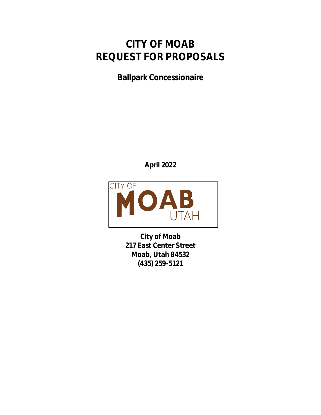## **CITY OF MOAB REQUEST FOR PROPOSALS**

**Ballpark Concessionaire**

**April 2022**



**City of Moab 217 East Center Street Moab, Utah 84532 (435) 259-5121**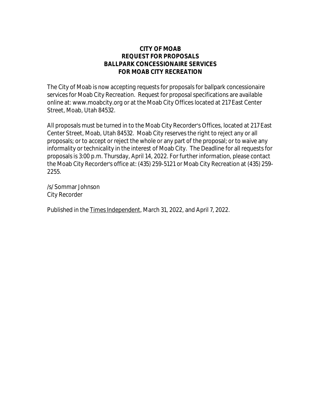## **CITY OF MOAB REQUEST FOR PROPOSALS BALLPARK CONCESSIONAIRE SERVICES FOR MOAB CITY RECREATION**

The City of Moab is now accepting requests for proposals for ballpark concessionaire services for Moab City Recreation. Request for proposal specifications are available online at: www.moabcity.org or at the Moab City Offices located at 217 East Center Street, Moab, Utah 84532.

All proposals must be turned in to the Moab City Recorder's Offices, located at 217 East Center Street, Moab, Utah 84532. Moab City reserves the right to reject any or all proposals; or to accept or reject the whole or any part of the proposal; or to waive any informality or technicality in the interest of Moab City. The Deadline for all requests for proposals is 3:00 p.m. Thursday, April 14, 2022. For further information, please contact the Moab City Recorder's office at: (435) 259-5121 or Moab City Recreation at (435) 259- 2255.

/s/ Sommar Johnson City Recorder

Published in the Times Independent, March 31, 2022, and April 7, 2022.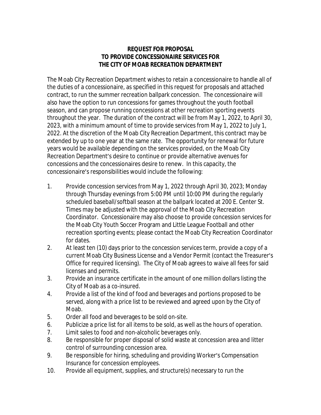## **REQUEST FOR PROPOSAL TO PROVIDE CONCESSIONAIRE SERVICES FOR THE CITY OF MOAB RECREATION DEPARTMENT**

The Moab City Recreation Department wishes to retain a concessionaire to handle all of the duties of a concessionaire, as specified in this request for proposals and attached contract, to run the summer recreation ballpark concession. The concessionaire will also have the option to run concessions for games throughout the youth football season, and can propose running concessions at other recreation sporting events throughout the year. The duration of the contract will be from May 1, 2022, to April 30, 2023, with a minimum amount of time to provide services from May 1, 2022 to July 1, 2022. At the discretion of the Moab City Recreation Department, this contract may be extended by up to one year at the same rate. The opportunity for renewal for future years would be available depending on the services provided, on the Moab City Recreation Department's desire to continue or provide alternative avenues for concessions and the concessionaires desire to renew. In this capacity, the concessionaire's responsibilities would include the following:

- 1. Provide concession services from May 1, 2022 through April 30, 2023; Monday through Thursday evenings from 5:00 PM until 10:00 PM during the regularly scheduled baseball/softball season at the ballpark located at 200 E. Center St. Times may be adjusted with the approval of the Moab City Recreation Coordinator. Concessionaire may also choose to provide concession services for the Moab City Youth Soccer Program and Little League Football and other recreation sporting events; please contact the Moab City Recreation Coordinator for dates.
- 2. At least ten (10) days prior to the concession services term, provide a copy of a current Moab City Business License and a Vendor Permit (contact the Treasurer's Office for required licensing). The City of Moab agrees to waive all fees for said licenses and permits.
- 3. Provide an insurance certificate in the amount of one million dollars listing the City of Moab as a co-insured.
- 4. Provide a list of the kind of food and beverages and portions proposed to be served, along with a price list to be reviewed and agreed upon by the City of Moab.
- 5. Order all food and beverages to be sold on-site.
- 6. Publicize a price list for all items to be sold, as well as the hours of operation.
- 7. Limit sales to food and non-alcoholic beverages only.
- 8. Be responsible for proper disposal of solid waste at concession area and litter control of surrounding concession area.
- 9. Be responsible for hiring, scheduling and providing Worker's Compensation Insurance for concession employees.
- 10. Provide all equipment, supplies, and structure(s) necessary to run the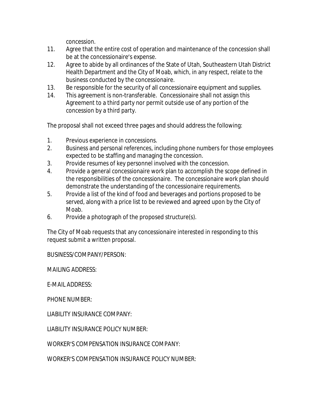concession.

- 11. Agree that the entire cost of operation and maintenance of the concession shall be at the concessionaire's expense.
- 12. Agree to abide by all ordinances of the State of Utah, Southeastern Utah District Health Department and the City of Moab, which, in any respect, relate to the business conducted by the concessionaire.
- 13. Be responsible for the security of all concessionaire equipment and supplies.
- 14. This agreement is non-transferable. Concessionaire shall not assign this Agreement to a third party nor permit outside use of any portion of the concession by a third party.

The proposal shall not exceed three pages and should address the following:

- 1. Previous experience in concessions.
- 2. Business and personal references, including phone numbers for those employees expected to be staffing and managing the concession.
- 3. Provide resumes of key personnel involved with the concession.
- 4. Provide a general concessionaire work plan to accomplish the scope defined in the responsibilities of the concessionaire. The concessionaire work plan should demonstrate the understanding of the concessionaire requirements.
- 5. Provide a list of the kind of food and beverages and portions proposed to be served, along with a price list to be reviewed and agreed upon by the City of Moab.
- 6. Provide a photograph of the proposed structure(s).

The City of Moab requests that any concessionaire interested in responding to this request submit a written proposal.

BUSINESS/COMPANY/PERSON:

MAILING ADDRESS:

E-MAIL ADDRESS:

PHONE NUMBER:

LIABILITY INSURANCE COMPANY:

LIABILITY INSURANCE POLICY NUMBER:

WORKER'S COMPENSATION INSURANCE COMPANY:

WORKER'S COMPENSATION INSURANCE POLICY NUMBER: